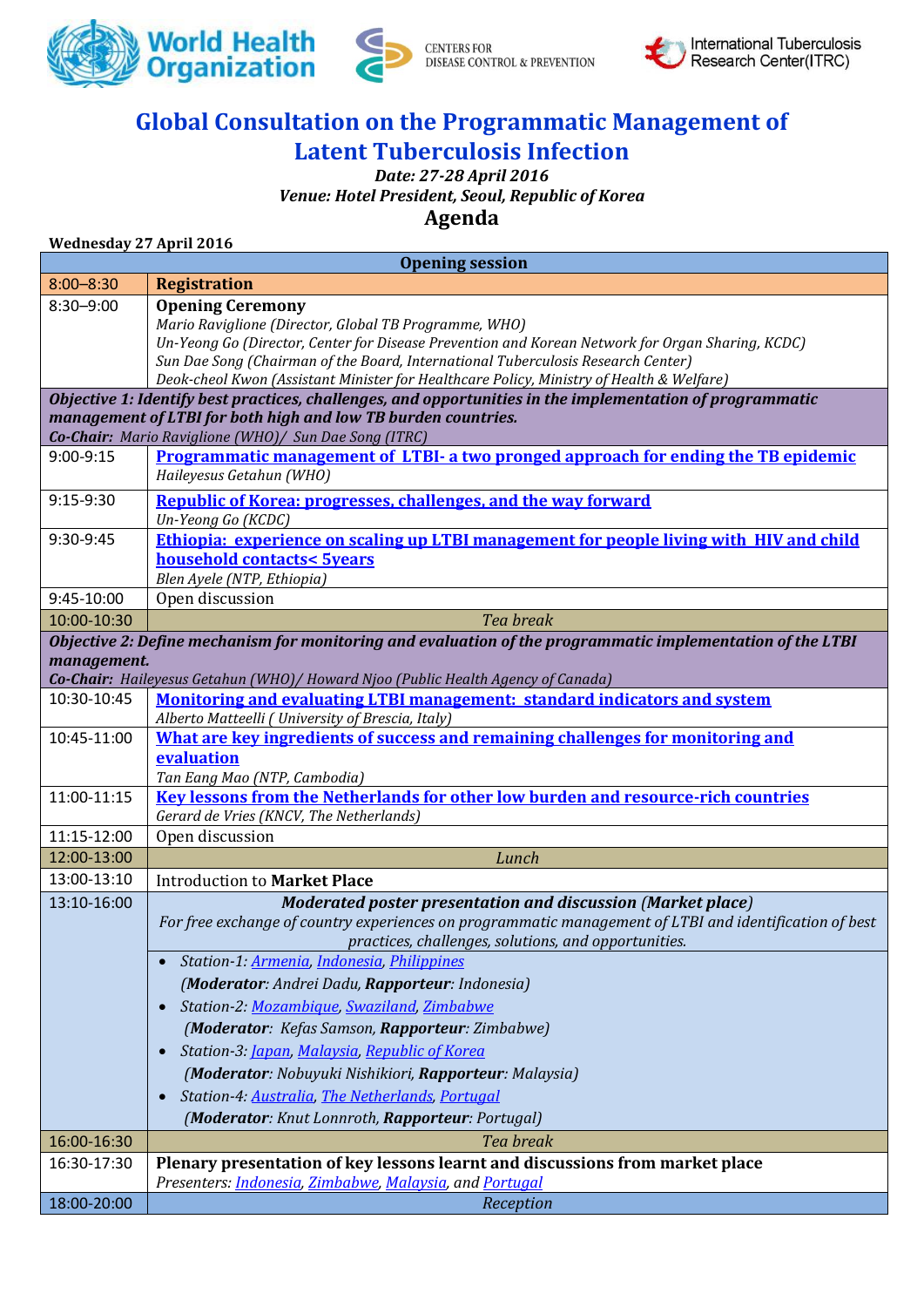



CENTERS FOR<br>DISEASE CONTROL & PREVENTION



## **Global Consultation on the Programmatic Management of Latent Tuberculosis Infection**

## *Date: 27-28 April 2016 Venue: Hotel President, Seoul, Republic of Korea* **Agenda**

**Wednesday 27 April 2016**

| <b>Registration</b><br>$8:00 - 8:30$<br><b>Opening Ceremony</b><br>$8:30 - 9:00$<br>Mario Raviglione (Director, Global TB Programme, WHO)<br>Un-Yeong Go (Director, Center for Disease Prevention and Korean Network for Organ Sharing, KCDC)<br>Sun Dae Song (Chairman of the Board, International Tuberculosis Research Center)<br>Deok-cheol Kwon (Assistant Minister for Healthcare Policy, Ministry of Health & Welfare)<br>Objective 1: Identify best practices, challenges, and opportunities in the implementation of programmatic<br>management of LTBI for both high and low TB burden countries.<br>Co-Chair: Mario Raviglione (WHO)/ Sun Dae Song (ITRC)<br>Programmatic management of LTBI- a two pronged approach for ending the TB epidemic<br>9:00-9:15<br>Haileyesus Getahun (WHO)<br><b>Republic of Korea: progresses, challenges, and the way forward</b><br>9:15-9:30<br>Un-Yeong Go (KCDC)<br>Ethiopia: experience on scaling up LTBI management for people living with HIV and child<br>9:30-9:45<br><b>household contacts&lt; 5years</b><br>Blen Ayele (NTP, Ethiopia)<br>9:45-10:00<br>Open discussion<br>10:00-10:30<br>Tea break<br>Objective 2: Define mechanism for monitoring and evaluation of the programmatic implementation of the LTBI<br>management.<br>Co-Chair: Haileyesus Getahun (WHO)/ Howard Njoo (Public Health Agency of Canada)<br><b>Monitoring and evaluating LTBI management: standard indicators and system</b><br>10:30-10:45<br>Alberto Matteelli ( University of Brescia, Italy)<br>What are key ingredients of success and remaining challenges for monitoring and<br>10:45-11:00<br>evaluation<br>Tan Eang Mao (NTP, Cambodia)<br><b>Key lessons from the Netherlands for other low burden and resource-rich countries</b><br>11:00-11:15<br>Gerard de Vries (KNCV, The Netherlands)<br>Open discussion<br>11:15-12:00<br>Lunch<br>12:00-13:00<br>13:00-13:10<br><b>Introduction to Market Place</b><br>Moderated poster presentation and discussion (Market place)<br>13:10-16:00<br>For free exchange of country experiences on programmatic management of LTBI and identification of best<br>practices, challenges, solutions, and opportunities.<br>Station-1: Armenia, Indonesia, Philippines<br>(Moderator: Andrei Dadu, Rapporteur: Indonesia)<br>Station-2: Mozambique, Swaziland, Zimbabwe<br>$\bullet$<br>(Moderator: Kefas Samson, Rapporteur: Zimbabwe)<br>Station-3: Japan, Malaysia, Republic of Korea<br>(Moderator: Nobuyuki Nishikiori, Rapporteur: Malaysia)<br>Station-4: Australia, The Netherlands, Portugal<br>(Moderator: Knut Lonnroth, Rapporteur: Portugal)<br>16:00-16:30<br>Tea break<br>Plenary presentation of key lessons learnt and discussions from market place<br>16:30-17:30<br>Presenters: <i>Indonesia</i> , <i>Zimbabwe</i> , <i>Malaysia</i> , and <i>Portugal</i><br>18:00-20:00<br>Reception | <b>Opening session</b> |  |  |  |
|---------------------------------------------------------------------------------------------------------------------------------------------------------------------------------------------------------------------------------------------------------------------------------------------------------------------------------------------------------------------------------------------------------------------------------------------------------------------------------------------------------------------------------------------------------------------------------------------------------------------------------------------------------------------------------------------------------------------------------------------------------------------------------------------------------------------------------------------------------------------------------------------------------------------------------------------------------------------------------------------------------------------------------------------------------------------------------------------------------------------------------------------------------------------------------------------------------------------------------------------------------------------------------------------------------------------------------------------------------------------------------------------------------------------------------------------------------------------------------------------------------------------------------------------------------------------------------------------------------------------------------------------------------------------------------------------------------------------------------------------------------------------------------------------------------------------------------------------------------------------------------------------------------------------------------------------------------------------------------------------------------------------------------------------------------------------------------------------------------------------------------------------------------------------------------------------------------------------------------------------------------------------------------------------------------------------------------------------------------------------------------------------------------------------------------------------------------------------------------------------------------------------------------------------------------------------------------------------------------------------------------------------------------------------------------------------------------------------------------------------------------------------------------------------------------------------------------------------------------------------------------------------|------------------------|--|--|--|
|                                                                                                                                                                                                                                                                                                                                                                                                                                                                                                                                                                                                                                                                                                                                                                                                                                                                                                                                                                                                                                                                                                                                                                                                                                                                                                                                                                                                                                                                                                                                                                                                                                                                                                                                                                                                                                                                                                                                                                                                                                                                                                                                                                                                                                                                                                                                                                                                                                                                                                                                                                                                                                                                                                                                                                                                                                                                                             |                        |  |  |  |
|                                                                                                                                                                                                                                                                                                                                                                                                                                                                                                                                                                                                                                                                                                                                                                                                                                                                                                                                                                                                                                                                                                                                                                                                                                                                                                                                                                                                                                                                                                                                                                                                                                                                                                                                                                                                                                                                                                                                                                                                                                                                                                                                                                                                                                                                                                                                                                                                                                                                                                                                                                                                                                                                                                                                                                                                                                                                                             |                        |  |  |  |
|                                                                                                                                                                                                                                                                                                                                                                                                                                                                                                                                                                                                                                                                                                                                                                                                                                                                                                                                                                                                                                                                                                                                                                                                                                                                                                                                                                                                                                                                                                                                                                                                                                                                                                                                                                                                                                                                                                                                                                                                                                                                                                                                                                                                                                                                                                                                                                                                                                                                                                                                                                                                                                                                                                                                                                                                                                                                                             |                        |  |  |  |
|                                                                                                                                                                                                                                                                                                                                                                                                                                                                                                                                                                                                                                                                                                                                                                                                                                                                                                                                                                                                                                                                                                                                                                                                                                                                                                                                                                                                                                                                                                                                                                                                                                                                                                                                                                                                                                                                                                                                                                                                                                                                                                                                                                                                                                                                                                                                                                                                                                                                                                                                                                                                                                                                                                                                                                                                                                                                                             |                        |  |  |  |
|                                                                                                                                                                                                                                                                                                                                                                                                                                                                                                                                                                                                                                                                                                                                                                                                                                                                                                                                                                                                                                                                                                                                                                                                                                                                                                                                                                                                                                                                                                                                                                                                                                                                                                                                                                                                                                                                                                                                                                                                                                                                                                                                                                                                                                                                                                                                                                                                                                                                                                                                                                                                                                                                                                                                                                                                                                                                                             |                        |  |  |  |
|                                                                                                                                                                                                                                                                                                                                                                                                                                                                                                                                                                                                                                                                                                                                                                                                                                                                                                                                                                                                                                                                                                                                                                                                                                                                                                                                                                                                                                                                                                                                                                                                                                                                                                                                                                                                                                                                                                                                                                                                                                                                                                                                                                                                                                                                                                                                                                                                                                                                                                                                                                                                                                                                                                                                                                                                                                                                                             |                        |  |  |  |
|                                                                                                                                                                                                                                                                                                                                                                                                                                                                                                                                                                                                                                                                                                                                                                                                                                                                                                                                                                                                                                                                                                                                                                                                                                                                                                                                                                                                                                                                                                                                                                                                                                                                                                                                                                                                                                                                                                                                                                                                                                                                                                                                                                                                                                                                                                                                                                                                                                                                                                                                                                                                                                                                                                                                                                                                                                                                                             |                        |  |  |  |
|                                                                                                                                                                                                                                                                                                                                                                                                                                                                                                                                                                                                                                                                                                                                                                                                                                                                                                                                                                                                                                                                                                                                                                                                                                                                                                                                                                                                                                                                                                                                                                                                                                                                                                                                                                                                                                                                                                                                                                                                                                                                                                                                                                                                                                                                                                                                                                                                                                                                                                                                                                                                                                                                                                                                                                                                                                                                                             |                        |  |  |  |
|                                                                                                                                                                                                                                                                                                                                                                                                                                                                                                                                                                                                                                                                                                                                                                                                                                                                                                                                                                                                                                                                                                                                                                                                                                                                                                                                                                                                                                                                                                                                                                                                                                                                                                                                                                                                                                                                                                                                                                                                                                                                                                                                                                                                                                                                                                                                                                                                                                                                                                                                                                                                                                                                                                                                                                                                                                                                                             |                        |  |  |  |
|                                                                                                                                                                                                                                                                                                                                                                                                                                                                                                                                                                                                                                                                                                                                                                                                                                                                                                                                                                                                                                                                                                                                                                                                                                                                                                                                                                                                                                                                                                                                                                                                                                                                                                                                                                                                                                                                                                                                                                                                                                                                                                                                                                                                                                                                                                                                                                                                                                                                                                                                                                                                                                                                                                                                                                                                                                                                                             |                        |  |  |  |
|                                                                                                                                                                                                                                                                                                                                                                                                                                                                                                                                                                                                                                                                                                                                                                                                                                                                                                                                                                                                                                                                                                                                                                                                                                                                                                                                                                                                                                                                                                                                                                                                                                                                                                                                                                                                                                                                                                                                                                                                                                                                                                                                                                                                                                                                                                                                                                                                                                                                                                                                                                                                                                                                                                                                                                                                                                                                                             |                        |  |  |  |
|                                                                                                                                                                                                                                                                                                                                                                                                                                                                                                                                                                                                                                                                                                                                                                                                                                                                                                                                                                                                                                                                                                                                                                                                                                                                                                                                                                                                                                                                                                                                                                                                                                                                                                                                                                                                                                                                                                                                                                                                                                                                                                                                                                                                                                                                                                                                                                                                                                                                                                                                                                                                                                                                                                                                                                                                                                                                                             |                        |  |  |  |
|                                                                                                                                                                                                                                                                                                                                                                                                                                                                                                                                                                                                                                                                                                                                                                                                                                                                                                                                                                                                                                                                                                                                                                                                                                                                                                                                                                                                                                                                                                                                                                                                                                                                                                                                                                                                                                                                                                                                                                                                                                                                                                                                                                                                                                                                                                                                                                                                                                                                                                                                                                                                                                                                                                                                                                                                                                                                                             |                        |  |  |  |
|                                                                                                                                                                                                                                                                                                                                                                                                                                                                                                                                                                                                                                                                                                                                                                                                                                                                                                                                                                                                                                                                                                                                                                                                                                                                                                                                                                                                                                                                                                                                                                                                                                                                                                                                                                                                                                                                                                                                                                                                                                                                                                                                                                                                                                                                                                                                                                                                                                                                                                                                                                                                                                                                                                                                                                                                                                                                                             |                        |  |  |  |
|                                                                                                                                                                                                                                                                                                                                                                                                                                                                                                                                                                                                                                                                                                                                                                                                                                                                                                                                                                                                                                                                                                                                                                                                                                                                                                                                                                                                                                                                                                                                                                                                                                                                                                                                                                                                                                                                                                                                                                                                                                                                                                                                                                                                                                                                                                                                                                                                                                                                                                                                                                                                                                                                                                                                                                                                                                                                                             |                        |  |  |  |
|                                                                                                                                                                                                                                                                                                                                                                                                                                                                                                                                                                                                                                                                                                                                                                                                                                                                                                                                                                                                                                                                                                                                                                                                                                                                                                                                                                                                                                                                                                                                                                                                                                                                                                                                                                                                                                                                                                                                                                                                                                                                                                                                                                                                                                                                                                                                                                                                                                                                                                                                                                                                                                                                                                                                                                                                                                                                                             |                        |  |  |  |
|                                                                                                                                                                                                                                                                                                                                                                                                                                                                                                                                                                                                                                                                                                                                                                                                                                                                                                                                                                                                                                                                                                                                                                                                                                                                                                                                                                                                                                                                                                                                                                                                                                                                                                                                                                                                                                                                                                                                                                                                                                                                                                                                                                                                                                                                                                                                                                                                                                                                                                                                                                                                                                                                                                                                                                                                                                                                                             |                        |  |  |  |
|                                                                                                                                                                                                                                                                                                                                                                                                                                                                                                                                                                                                                                                                                                                                                                                                                                                                                                                                                                                                                                                                                                                                                                                                                                                                                                                                                                                                                                                                                                                                                                                                                                                                                                                                                                                                                                                                                                                                                                                                                                                                                                                                                                                                                                                                                                                                                                                                                                                                                                                                                                                                                                                                                                                                                                                                                                                                                             |                        |  |  |  |
|                                                                                                                                                                                                                                                                                                                                                                                                                                                                                                                                                                                                                                                                                                                                                                                                                                                                                                                                                                                                                                                                                                                                                                                                                                                                                                                                                                                                                                                                                                                                                                                                                                                                                                                                                                                                                                                                                                                                                                                                                                                                                                                                                                                                                                                                                                                                                                                                                                                                                                                                                                                                                                                                                                                                                                                                                                                                                             |                        |  |  |  |
|                                                                                                                                                                                                                                                                                                                                                                                                                                                                                                                                                                                                                                                                                                                                                                                                                                                                                                                                                                                                                                                                                                                                                                                                                                                                                                                                                                                                                                                                                                                                                                                                                                                                                                                                                                                                                                                                                                                                                                                                                                                                                                                                                                                                                                                                                                                                                                                                                                                                                                                                                                                                                                                                                                                                                                                                                                                                                             |                        |  |  |  |
|                                                                                                                                                                                                                                                                                                                                                                                                                                                                                                                                                                                                                                                                                                                                                                                                                                                                                                                                                                                                                                                                                                                                                                                                                                                                                                                                                                                                                                                                                                                                                                                                                                                                                                                                                                                                                                                                                                                                                                                                                                                                                                                                                                                                                                                                                                                                                                                                                                                                                                                                                                                                                                                                                                                                                                                                                                                                                             |                        |  |  |  |
|                                                                                                                                                                                                                                                                                                                                                                                                                                                                                                                                                                                                                                                                                                                                                                                                                                                                                                                                                                                                                                                                                                                                                                                                                                                                                                                                                                                                                                                                                                                                                                                                                                                                                                                                                                                                                                                                                                                                                                                                                                                                                                                                                                                                                                                                                                                                                                                                                                                                                                                                                                                                                                                                                                                                                                                                                                                                                             |                        |  |  |  |
|                                                                                                                                                                                                                                                                                                                                                                                                                                                                                                                                                                                                                                                                                                                                                                                                                                                                                                                                                                                                                                                                                                                                                                                                                                                                                                                                                                                                                                                                                                                                                                                                                                                                                                                                                                                                                                                                                                                                                                                                                                                                                                                                                                                                                                                                                                                                                                                                                                                                                                                                                                                                                                                                                                                                                                                                                                                                                             |                        |  |  |  |
|                                                                                                                                                                                                                                                                                                                                                                                                                                                                                                                                                                                                                                                                                                                                                                                                                                                                                                                                                                                                                                                                                                                                                                                                                                                                                                                                                                                                                                                                                                                                                                                                                                                                                                                                                                                                                                                                                                                                                                                                                                                                                                                                                                                                                                                                                                                                                                                                                                                                                                                                                                                                                                                                                                                                                                                                                                                                                             |                        |  |  |  |
|                                                                                                                                                                                                                                                                                                                                                                                                                                                                                                                                                                                                                                                                                                                                                                                                                                                                                                                                                                                                                                                                                                                                                                                                                                                                                                                                                                                                                                                                                                                                                                                                                                                                                                                                                                                                                                                                                                                                                                                                                                                                                                                                                                                                                                                                                                                                                                                                                                                                                                                                                                                                                                                                                                                                                                                                                                                                                             |                        |  |  |  |
|                                                                                                                                                                                                                                                                                                                                                                                                                                                                                                                                                                                                                                                                                                                                                                                                                                                                                                                                                                                                                                                                                                                                                                                                                                                                                                                                                                                                                                                                                                                                                                                                                                                                                                                                                                                                                                                                                                                                                                                                                                                                                                                                                                                                                                                                                                                                                                                                                                                                                                                                                                                                                                                                                                                                                                                                                                                                                             |                        |  |  |  |
|                                                                                                                                                                                                                                                                                                                                                                                                                                                                                                                                                                                                                                                                                                                                                                                                                                                                                                                                                                                                                                                                                                                                                                                                                                                                                                                                                                                                                                                                                                                                                                                                                                                                                                                                                                                                                                                                                                                                                                                                                                                                                                                                                                                                                                                                                                                                                                                                                                                                                                                                                                                                                                                                                                                                                                                                                                                                                             |                        |  |  |  |
|                                                                                                                                                                                                                                                                                                                                                                                                                                                                                                                                                                                                                                                                                                                                                                                                                                                                                                                                                                                                                                                                                                                                                                                                                                                                                                                                                                                                                                                                                                                                                                                                                                                                                                                                                                                                                                                                                                                                                                                                                                                                                                                                                                                                                                                                                                                                                                                                                                                                                                                                                                                                                                                                                                                                                                                                                                                                                             |                        |  |  |  |
|                                                                                                                                                                                                                                                                                                                                                                                                                                                                                                                                                                                                                                                                                                                                                                                                                                                                                                                                                                                                                                                                                                                                                                                                                                                                                                                                                                                                                                                                                                                                                                                                                                                                                                                                                                                                                                                                                                                                                                                                                                                                                                                                                                                                                                                                                                                                                                                                                                                                                                                                                                                                                                                                                                                                                                                                                                                                                             |                        |  |  |  |